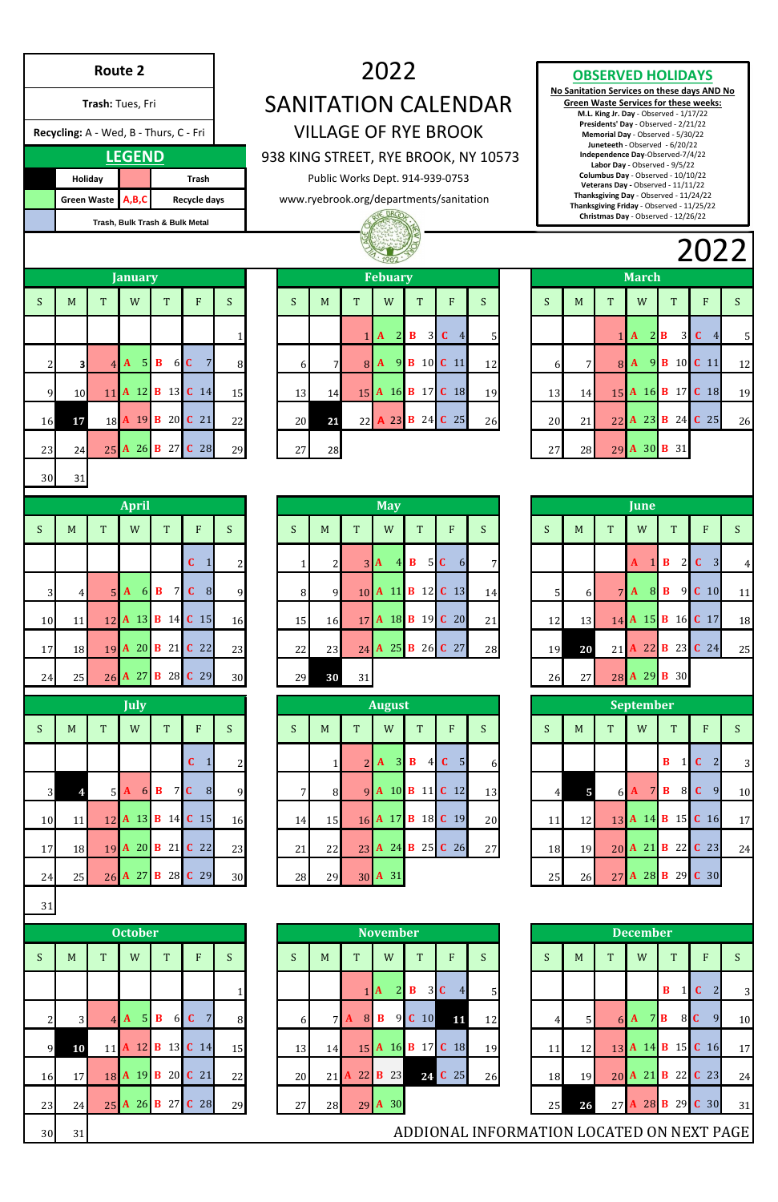|                      |    |                |                 | 1982                           |              |                         |              |                |                | LULL |                 |    |                       |    |               |                |              |                |    |
|----------------------|----|----------------|-----------------|--------------------------------|--------------|-------------------------|--------------|----------------|----------------|------|-----------------|----|-----------------------|----|---------------|----------------|--------------|----------------|----|
|                      |    |                |                 | <b>Febuary</b>                 |              |                         |              |                |                |      |                 |    | <b>March</b>          |    |               |                |              |                |    |
|                      | S  | M              | T               | W                              |              | T                       |              | F              | S              | S    | M               | T  |                       | W  |               | T              | F            |                | S  |
| $\overline{1}$       |    |                |                 | $\overline{2}$<br>$\mathbf{A}$ | B            | 3                       | $\mathbf{C}$ | $\overline{4}$ | 5 <sub>l</sub> |      |                 |    | $\mathbf{A}$          |    | $2\mathbf{B}$ | 3 <sup>1</sup> | $\mathbf C$  | $\overline{4}$ | 5  |
| $\overline{8}$       | 6  | 7 <sup>1</sup> | $\vert 8 \vert$ | 9<br>$\mathbf{A}$              | $\bf{B}$     |                         | 10 C 11      |                | 12             | 6    | $7\overline{ }$ | 8  | $\mathbf{A}$          | 9  | $\bf{B}$      | 10             | $C$ 11       |                | 12 |
| $\overline{5}$       | 13 | 14             | 15              | A 16                           |              | <b>B</b> 17 <b>C</b> 18 |              |                | 19             | 13   | 14              |    | 15 A 16               |    |               | <b>B</b> 17    | $\mathbf{C}$ | <b>18</b>      | 19 |
| $\frac{2}{\sqrt{2}}$ | 20 | 21             |                 | 22 A 23                        | $\mathbf{B}$ | 24 C 25                 |              |                | 26             | 20   | 21              | 22 | A 23                  |    | B             | 24             | $C$ 25       |                | 26 |
| $\mathbf{9}$         | 27 | 28             |                 |                                |              |                         |              |                |                | 27   | 28              |    | $29$ $\boldsymbol{A}$ | 30 | B             | 31             |              |                |    |

|    |    |                | June                      |                                              |                               |    |
|----|----|----------------|---------------------------|----------------------------------------------|-------------------------------|----|
| S  | M  | $\mathbf T$    | W                         | T                                            | $\overline{F}$                | S  |
|    |    |                | $\vert$ 1<br>$\mathbf{A}$ | $\mathbf B$<br>$\overline{2}$                | $\mathbf C$<br>$\overline{3}$ | 4  |
| 5  | 6  | $\overline{7}$ | 8<br>$\mathbf{A}$         | $\overline{9}$<br>B                          | $\mathbf C$<br>10             | 11 |
| 12 | 13 | 14             |                           | $\mathbf{A}$ 15 $\mathbf{B}$ 16 $\mathbf{C}$ | 17                            | 18 |
| 19 | 20 | 21             |                           | A 22 B 23 C 24                               |                               | 25 |
| 26 | 27 | 28             | 29<br>$\mathbf{A}$        | 30<br>B                                      |                               |    |

|                 |                                        | <b>Route 2</b> |                                |                                |                                     |                |              |                |                | 2022                           |                                |                                                                            |                                      |                  |                |                 |                                                                                                         |                       |                                              |                |
|-----------------|----------------------------------------|----------------|--------------------------------|--------------------------------|-------------------------------------|----------------|--------------|----------------|----------------|--------------------------------|--------------------------------|----------------------------------------------------------------------------|--------------------------------------|------------------|----------------|-----------------|---------------------------------------------------------------------------------------------------------|-----------------------|----------------------------------------------|----------------|
|                 |                                        |                |                                |                                |                                     |                |              |                |                |                                |                                |                                                                            |                                      |                  |                |                 | <b>OBSERVED HOLIDAYS</b>                                                                                |                       | No Sanitation Services on these days AND No  |                |
|                 |                                        |                | Trash: Tues, Fri               |                                |                                     |                |              |                |                |                                |                                |                                                                            | <b>SANITATION CALENDAR</b>           |                  |                |                 | M.L. King Jr. Day - Observed - 1/17/22<br>Presidents' Day - Observed - 2/21/22                          |                       | <b>Green Waste Services for these weeks:</b> |                |
|                 | Recycling: A - Wed, B - Thurs, C - Fri |                |                                |                                |                                     |                |              |                |                |                                |                                | <b>VILLAGE OF RYE BROOK</b>                                                |                                      |                  |                |                 | Memorial Day - Observed - 5/30/22<br>Juneteeth - Observed - 6/20/22                                     |                       |                                              |                |
|                 |                                        |                | <b>LEGEND</b>                  |                                |                                     |                |              |                |                |                                |                                |                                                                            | 938 KING STREET, RYE BROOK, NY 10573 |                  |                |                 | Independence Day-Observed-7/4/22<br>Labor Day - Observed - 9/5/22<br>Columbus Day - Observed - 10/10/22 |                       |                                              |                |
|                 | Holiday<br>Green Waste A,B,C           |                |                                |                                | <b>Trash</b><br><b>Recycle days</b> |                |              |                |                |                                |                                | Public Works Dept. 914-939-0753<br>www.ryebrook.org/departments/sanitation |                                      |                  |                |                 | Veterans Day - Observed - 11/11/22<br>Thanksgiving Day - Observed - 11/24/22                            |                       |                                              |                |
|                 |                                        |                | Trash, Bulk Trash & Bulk Metal |                                |                                     |                |              |                |                |                                |                                |                                                                            |                                      |                  |                |                 | Thanksgiving Friday - Observed - 11/25/22<br>Christmas Day - Observed - 12/26/22                        |                       |                                              |                |
|                 |                                        |                |                                |                                |                                     |                |              |                |                |                                |                                |                                                                            |                                      |                  |                |                 |                                                                                                         |                       | 2022                                         |                |
|                 |                                        |                | <b>January</b>                 |                                |                                     |                |              |                |                | <b>Febuary</b>                 |                                |                                                                            |                                      |                  |                |                 | <b>March</b>                                                                                            |                       |                                              |                |
| S.              | M                                      | T              | W                              | T                              | F                                   | S              | S            | M              | T              | W                              | T                              | F                                                                          | S                                    | S.               | M              | T               | W                                                                                                       | <sup>T</sup>          | F                                            | <sub>S</sub>   |
|                 |                                        |                |                                |                                |                                     |                |              |                | 1 <sup>1</sup> | $\mathbf{A}$                   | $2 \mid B$<br>3 <sup>l</sup>   | $C \quad 4$                                                                | 5                                    |                  |                |                 | $1 \, \text{A}$                                                                                         | $2\mathbf{B}$<br>3    | $C \t 4$                                     | 5              |
|                 | 3                                      |                | ${\bf A}$                      | $5\,$ B                        | 6 C<br>$\overline{7}$               | 8              | 6            | 7              |                |                                |                                | 8 A 9 B 10 C 11                                                            | 12                                   | 6                |                |                 |                                                                                                         |                       | 8 A 9 B 10 C 11                              | 12             |
|                 | 9<br>10                                |                |                                |                                | 11 A 12 B 13 C 14                   | 15             | 13           | 14             |                |                                |                                | 15 A 16 B 17 C 18                                                          | 19                                   | 13               | 14             |                 |                                                                                                         |                       | 15 A 16 B 17 C 18                            | 19             |
| 16              | 17                                     |                |                                |                                | 18 A 19 B 20 C 21                   | 22             | 20           | 21             |                |                                |                                | 22 A 23 B 24 C 25                                                          | 26                                   | 20               | 21             |                 |                                                                                                         |                       | 22 A 23 B 24 C 25                            | 26             |
|                 |                                        |                |                                |                                | 25 A 26 B 27 C 28                   |                |              |                |                |                                |                                |                                                                            |                                      |                  |                |                 | 29 A 30 B 31                                                                                            |                       |                                              |                |
| 23              | 24                                     |                |                                |                                |                                     | 29             | 27           | 28             |                |                                |                                |                                                                            |                                      | 27               | 28             |                 |                                                                                                         |                       |                                              |                |
| 30 <sub>1</sub> | $\overline{31}$                        |                |                                |                                |                                     |                |              |                |                |                                |                                |                                                                            |                                      |                  |                |                 |                                                                                                         |                       |                                              |                |
|                 |                                        |                | April                          |                                |                                     |                |              |                |                | <b>May</b>                     |                                |                                                                            |                                      |                  |                |                 | June                                                                                                    |                       |                                              |                |
| S               | M                                      | T              | W                              | T                              | ${\bf F}$                           | S              | S            | M              | T              | W                              | T <sup>-</sup>                 | F                                                                          | S                                    | S                | M              | $\mathbf T$     | W                                                                                                       | T <sup>-</sup>        | ${\bf F}$                                    | S              |
|                 |                                        |                |                                |                                | $\mathbf{C}$<br>$\mathbf{1}$        | $\overline{2}$ | $\mathbf{1}$ | $\overline{2}$ |                | 4<br>$3\vert\mathbf{A}\vert$   | $\mathbf{B}$<br>5 <sub>l</sub> | $\mathbf C$<br>6                                                           | 7                                    |                  |                |                 | $\mathbf{A}$<br>$\mathbf{1}$                                                                            | $\bf{B}$<br>2         | $\vert 3 \vert$<br>$\mathbf{C}$              | $\overline{4}$ |
|                 | $\overline{3}$<br>4                    | 5 <sub>l</sub> | A<br>$\vert 6 \vert$           | $\mathbf{B}$<br>7 <sup>1</sup> | $\mathbf{C}$<br>8                   | 9              | 8            | 9              |                | 10 A 11                        |                                | <b>B</b> 12 <b>C</b> 13                                                    | 14                                   | 5                | $6 \mid$       |                 | 8 <br>7 <sup>h</sup>                                                                                    | $\bf{B}$<br>9         | $C$ 10                                       | 11             |
| 10              | 11                                     |                |                                |                                | 12 A 13 B 14 C 15                   | 16             | 15           | 16             |                |                                |                                | 17 A 18 B 19 C 20                                                          | 21                                   | 12               | 13             |                 |                                                                                                         |                       | 14 A 15 B 16 C 17                            | 18             |
| 17              | 18                                     | 19             | A 20                           | <b>B</b> 21                    | $C$ 22                              | 23             | 22           | 23             | $24$ $\bm{A}$  |                                | 25 <b>B</b> 26                 | C <sub>27</sub>                                                            | 28                                   | 19               | 20             | 21              |                                                                                                         |                       | A 22 B 23 C 24                               | 25             |
|                 |                                        |                |                                |                                |                                     |                |              |                |                |                                |                                |                                                                            |                                      |                  |                |                 |                                                                                                         |                       |                                              |                |
| 24              | 25                                     |                |                                |                                | 26 A 27 B 28 C 29                   | 30             | 29           | 30             | 31             |                                |                                |                                                                            |                                      | 26               | 27             |                 | 28 A 29 B 30                                                                                            |                       |                                              |                |
|                 |                                        |                | <b>July</b>                    |                                |                                     |                |              |                |                | <b>August</b>                  |                                |                                                                            |                                      |                  |                |                 | <b>September</b>                                                                                        |                       |                                              |                |
| S               | M                                      | T              | W                              | T                              | ${\bf F}$                           | S              | S            | M              | $\mathbf T$    | W                              | T                              | F                                                                          | S                                    | S                | M              | $\mathbf T$     | W                                                                                                       | T                     | F                                            | S              |
|                 |                                        |                |                                |                                | $\mathbf{C}$<br>$\mathbf{1}$        | $\overline{2}$ |              | $\mathbf{1}$   | $\overline{2}$ | $\overline{3}$<br>$\mathbf{A}$ | $\bf{B}$<br> 4                 | $\mathbf{C}$<br>5 <sub>l</sub>                                             | 6                                    |                  |                |                 |                                                                                                         | $\bf{B}$<br>$\vert$ 1 | $\vert$ 2<br>$\mathbf C$                     | 3              |
|                 | 3 <sup>l</sup><br>4                    | 5 <sub>l</sub> | ${\bf A}$<br>6                 | $\mathbf{B}$                   | 7 <sup>C</sup><br>8                 | 9              | 7            | 8              |                |                                |                                | 9 A 10 B 11 C 12                                                           | 13                                   | $\left 4\right $ | $\overline{5}$ | $6\blacksquare$ | $7\phantom{.0}$<br>$\mathbf{A}$                                                                         | $\mathbf{B}$<br>8     | 9<br>$\mathbf C$                             |                |
| 10              | 11                                     |                |                                |                                | 12 A 13 B 14 C 15                   | 16             | 14           | 15             |                |                                |                                | <b>B</b> 18 <b>C</b> 19                                                    | 20                                   | 11               | 12             |                 |                                                                                                         |                       | 13 A 14 B 15 C 16                            | 10<br>17       |
| 17              | 18                                     |                | $19$ <b>A</b> 20 <b>B</b> 21   |                                | $C$ 22                              | 23             | 21           | 22             |                | 16 A 17                        |                                | 23 A 24 B 25 C 26                                                          | 27                                   | 18               | 19             |                 |                                                                                                         |                       | 20 A 21 B 22 C 23                            | 24             |

# **C** 1 2 1 2 3  $\mathbf{A}$  4 **B** 5 **C** 6 7 **A** 1 **B** 2 **C** 3 4 **April May June**

|                |                |                | <b>July</b>                    |                                |                                |                |    |                |                | <b>August</b>                  |                                |                                |                |                |                |                 | <b>September</b>               |                              |                                  |                |
|----------------|----------------|----------------|--------------------------------|--------------------------------|--------------------------------|----------------|----|----------------|----------------|--------------------------------|--------------------------------|--------------------------------|----------------|----------------|----------------|-----------------|--------------------------------|------------------------------|----------------------------------|----------------|
| S              | M              | T <sup>-</sup> | W                              | T                              | $\overline{F}$                 | S              | S  | M              | T              | W                              | T                              | F                              | S              | S              | M              | T.              | W                              | T                            | $\overline{F}$                   | S              |
|                |                |                |                                |                                | $\mathbf{C}$<br>$\mathbf{1}$   | $\overline{2}$ |    |                | $\overline{2}$ | $\vert 3 \vert$<br>${\bf A}$   | $\bf{B}$<br>4                  | 5 <sub>l</sub><br>$\mathbf{C}$ | 6              |                |                |                 |                                | $\mathbf{B}$<br>$\mathbf{1}$ | $\overline{2}$<br>$\mathbf{C}$   | $\overline{3}$ |
| 3 <sup>l</sup> |                | 5 <sup>l</sup> | 6<br>${\bf A}$                 | $\mathbf{B}$<br>7 <sup>1</sup> | $\mathbf C$<br>8               | 9              | 7  | 8              |                |                                |                                | 9 A 10 B 11 C 12               | 13             | $\overline{4}$ | 5              | $6\blacksquare$ | $\overline{7}$<br>$\mathbf{A}$ | $\mathbf{B}$<br>8            | $\mathbf{C}$<br>9                | 10             |
| 10             | 11             |                |                                |                                | 12 A 13 B 14 C 15              | 16             | 14 | 15             |                |                                |                                | 16 A 17 B 18 C 19              | 20             | 11             | 12             |                 | 13 A 14 B 15                   |                              | $C$ 16                           | 17             |
| 17             | <b>18</b>      |                |                                |                                | 19 A 20 B 21 C 22              | 23             | 21 | 22             |                |                                |                                | 23 A 24 B 25 C 26              | 27             | 18             | 19             |                 | 20 A 21 B 22                   |                              | $C$ 23                           | 24             |
| 24             | 25             |                | 26 A 27 B 28                   |                                | $C$ 29                         | 30             | 28 | 29             |                | 30 A 31                        |                                |                                |                | 25             | 26             |                 | 27 A 28 B 29                   |                              | $C$ 30                           |                |
| 31             |                |                |                                |                                |                                |                |    |                |                |                                |                                |                                |                |                |                |                 |                                |                              |                                  |                |
|                |                |                | <b>October</b>                 |                                |                                |                |    |                |                | <b>November</b>                |                                |                                |                |                |                |                 | <b>December</b>                |                              |                                  |                |
| S              | M              | T              | W                              | T                              | F                              | S              | S. | M              | T              | W                              | T                              | F                              | S              | S              | M              | $\mathbf T$     | W                              | T                            | F                                | S              |
|                |                |                |                                |                                |                                | $\mathbf{1}$   |    |                |                | $\overline{2}$<br>$1$ <b>A</b> | $\mathbf{B}$<br>3 <sup>l</sup> | $\mathbf C$<br>$\overline{4}$  | 5 <sup>1</sup> |                |                |                 |                                | $\mathbf{B}$<br>$\mathbf{1}$ | $\overline{2}$<br>$\overline{C}$ | $\overline{3}$ |
| $\overline{c}$ | 3 <sup>l</sup> | $\overline{4}$ | 5 <sub>l</sub><br>$\mathbf{A}$ | $\mathbf{B}$<br>6              | $\overline{7}$<br>$\mathbf{C}$ | 8              | 6  | 7 <sup>1</sup> | ${\bf A}$<br>8 | $\mathbf{B}$                   | 9 C 10                         | 11                             | 12             | $\overline{4}$ | 5 <sub>l</sub> |                 | 6 A                            | $7\,$ B<br>8                 | $\mathbf{C}$<br>9                | 10             |
| $\overline{9}$ | 10             | 11             |                                | <b>A</b> 12 <b>B</b> 13        | $C$ 14                         | 15             | 13 | 14             |                |                                | 15 A 16 B 17                   | $C$ 18                         | 19             | 11             | 12             |                 | 13 A 14 B 15                   |                              | $C$ 16                           | 17             |
| 16             | 17             |                |                                |                                | 18 A 19 B 20 C 21              | 22             | 20 |                | 21 A 22 B 23   |                                |                                | 24 C 25                        | 26             | 18             | 19             |                 | 20 A 21 B 22                   |                              | $C$ 23                           | 24             |

|                |                |                | <b>July</b>                           |                                 |                                |                |
|----------------|----------------|----------------|---------------------------------------|---------------------------------|--------------------------------|----------------|
| S              | M              | T              | W                                     | T                               | ${\bf F}$                      | S              |
|                |                |                |                                       |                                 | $\mathbf{C}$<br>$\vert$ 1      | $\overline{2}$ |
| $\overline{3}$ |                | 5 <sup>l</sup> | ${\bf A}$                             | 6 <b>B</b>                      | $7C_8$                         | 9              |
| 10             | 11             |                |                                       |                                 | 12 A 13 B 14 C 15              | 16             |
| 17             | 18             |                |                                       |                                 | 19 A 20 B 21 C 22              | 23             |
| 24             | 25             |                |                                       |                                 | 26 A 27 B 28 C 29              | 30             |
| 31             |                |                |                                       |                                 |                                |                |
|                |                |                | <b>October</b>                        |                                 |                                |                |
| S              | M              |                |                                       |                                 |                                |                |
|                |                | T              | W                                     | T                               | F                              | S              |
|                |                |                |                                       |                                 |                                | 1              |
| $\overline{2}$ | $\overline{3}$ |                | $5\overline{5}$<br>$4$ $\overline{A}$ | $\mathbf{B}$<br>$6\blacksquare$ | $\overline{7}$<br>$\mathbf{C}$ | 8              |
| 9              | 10             |                |                                       |                                 | 11 A 12 B 13 C 14              | 15             |

23 24 25 **A** 26 **B** 27 **C** 28 29 27 28 29 **A** 30 25 **26** 27 **A** 28 **B** 29 **C** 30 31

30 31 31 ADDIONAL INFORMATION LOCATED ON NEXT PAGE

# $2022$

# **OBSERVED HOLIDAYS**

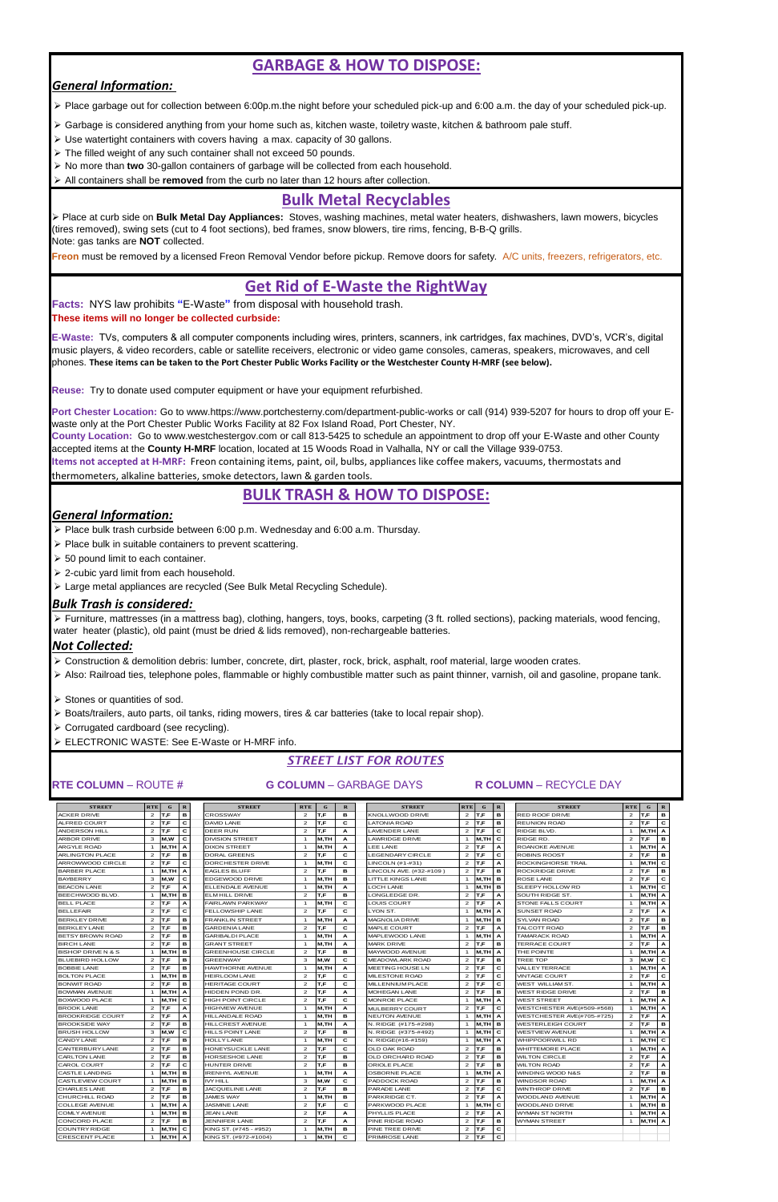# **GARBAGE & HOW TO DISPOSE:**

# *General Information:*

➢ Place garbage out for collection between 6:00p.m.the night before your scheduled pick-up and 6:00 a.m. the day of your scheduled pick-up.

- ➢ Garbage is considered anything from your home such as, kitchen waste, toiletry waste, kitchen & bathroom pale stuff.
- ➢ Use watertight containers with covers having a max. capacity of 30 gallons.
- ➢ The filled weight of any such container shall not exceed 50 pounds.
- ➢ No more than **two** 30-gallon containers of garbage will be collected from each household.
- ➢ All containers shall be **removed** from the curb no later than 12 hours after collection.

# **Bulk Metal Recyclables**

➢ Place at curb side on **Bulk Metal Day Appliances:** Stoves, washing machines, metal water heaters, dishwashers, lawn mowers, bicycles (tires removed), swing sets (cut to 4 foot sections), bed frames, snow blowers, tire rims, fencing, B-B-Q grills. Note: gas tanks are **NOT** collected.

**Freon** must be removed by a licensed Freon Removal Vendor before pickup. Remove doors for safety. A/C units, freezers, refrigerators, etc.

**Items not accepted at H-MRF:** Freon containing items, paint, oil, bulbs, appliances like coffee makers, vacuums, thermostats and thermometers, alkaline batteries, smoke detectors, lawn & garden tools.

# **Get Rid of E-Waste the RightWay**

**Facts:** NYS law prohibits **"**E-Waste**"** from disposal with household trash. **These items will no longer be collected curbside:**

**E-Waste:** TVs, computers & all computer components including wires, printers, scanners, ink cartridges, fax machines, DVD's, VCR's, digital music players, & video recorders, cable or satellite receivers, electronic or video game consoles, cameras, speakers, microwaves, and cell phones. **These items can be taken to the Port Chester Public Works Facility or the Westchester County H-MRF (see below).**

**Reuse:** Try to donate used computer equipment or have your equipment refurbished.

**Port Chester Location:** Go to www.https://www.portchesterny.com/department-public-works or call (914) 939-5207 for hours to drop off your Ewaste only at the Port Chester Public Works Facility at 82 Fox Island Road, Port Chester, NY.

**County Location:** Go to www.westchestergov.com or call 813-5425 to schedule an appointment to drop off your E-Waste and other County accepted items at the **County H-MRF** location, located at 15 Woods Road in Valhalla, NY or call the Village 939-0753.

# **BULK TRASH & HOW TO DISPOSE:**

# *General Information:*

- ➢ Place bulk trash curbside between 6:00 p.m. Wednesday and 6:00 a.m. Thursday.
- ➢ Place bulk in suitable containers to prevent scattering.
- ➢ 50 pound limit to each container.
- ➢ 2-cubic yard limit from each household.
- ➢ Large metal appliances are recycled (See Bulk Metal Recycling Schedule).

# *Bulk Trash is considered:*

➢ Furniture, mattresses (in a mattress bag), clothing, hangers, toys, books, carpeting (3 ft. rolled sections), packing materials, wood fencing, water heater (plastic), old paint (must be dried & lids removed), non-rechargeable batteries.

# *Not Collected:*

- ➢ Construction & demolition debris: lumber, concrete, dirt, plaster, rock, brick, asphalt, roof material, large wooden crates.
- ➢ Also: Railroad ties, telephone poles, flammable or highly combustible matter such as paint thinner, varnish, oil and gasoline, propane tank.
- ➢ Stones or quantities of sod.
- ➢ Boats/trailers, auto parts, oil tanks, riding mowers, tires & car batteries (take to local repair shop).
- ➢ Corrugated cardboard (see recycling).
- ➢ ELECTRONIC WASTE: See E-Waste or H-MRF info.

# *STREET LIST FOR ROUTES*

# **RTE COLUMN** – ROUTE # **G COLUMN** – GARBAGE DAYS **R COLUMN** – RECYCLE DAY

| <b>STREET</b>            | <b>RTE</b> | $\mathbf{r}$ |   | <b>STREET</b>            | <b>RTE</b> |      |   | <b>STREET</b>           | <b>RTE</b>            | G.      | $\mathbf{R}$ | <b>STREET</b>             | <b>RTE</b>     | G.       | $\mathbf{R}$ |
|--------------------------|------------|--------------|---|--------------------------|------------|------|---|-------------------------|-----------------------|---------|--------------|---------------------------|----------------|----------|--------------|
| <b>ACKER DRIVE</b>       |            | T.F          | в | <b>CROSSWAY</b>          |            | Г.F  | в | KNOLLWOOD DRIVE         |                       |         | в            | <b>RED ROOF DRIVE</b>     | 2              |          | <b>B</b>     |
| <b>ALFRED COURT</b>      |            | IT.F         | С | DAVID LANE               | 2          | IT.F |   | <b>LATONIA ROAD</b>     |                       | $2$ T.F | в            | <b>REUNION ROAD</b>       | 2 <sup>1</sup> | IT.F     | C            |
| <b>ANDERSON HILL</b>     |            | T.F          | с | DEER RUN                 | 2          | T.F  |   | <b>LAVENDER LANE</b>    | 2                     |         | С            | RIDGE BLVD.               |                | M,TH A   |              |
| <b>ARBOR DRIVE</b>       |            | M.W          |   | <b>DIVISION STREET</b>   |            | M.TH |   | LAWRIDGE DRIVE          |                       | M.TH    | C            | RIDGE RD.                 |                |          | в            |
| <b>ARGYLE ROAD</b>       |            | IM.TH IA     |   | <b>DIXON STREET</b>      |            | M.TH |   | LEE LANE                |                       | IT.F    |              | ROANOKE AVENUE            |                | M,TH A   |              |
| ARLINGTON PLACE          |            | T.F          | в | DORAL GREENS             |            | T.F  |   | <b>LEGENDARY CIRCLE</b> |                       | IT.F    | c            | <b>ROBINS ROOST</b>       |                |          | в            |
| <b>JARROWWOOD CIRCLE</b> |            | lT.F         | С | <b>IDORCHESTER DRIVE</b> |            | M.TH |   | LINCOLN (#1-#31)        | $\mathbf{2}^{\prime}$ | IT.F    | A            | <b>ROCKINGHORSE TRAIL</b> |                | M.THIC   |              |
| BARBER PLACE             |            | IM.TH I A    |   | <b>EAGLES BLUFF</b>      |            | IT.F | в | LINCOLN AVE. (#32-#109) | 2                     | IT.F    | в            | <b>ROCKRIDGE DRIVE</b>    |                |          | в            |
| <b>BAYBERRY</b>          |            | M.W          |   | <b>IEDGEWOOD DRIVE</b>   |            | M.TH | в | LITTLE KINGS LANE       |                       | M.TH B  |              | <b>ROSE LANE</b>          |                | $2$ IT.F | C            |

| <b>BEACON LANE</b>            | $\overline{2}$          | T.F             | А  | ELLENDALE AVENUE         | $\overline{1}$          | M.TH  | A  | LOCH LANE              |                | M,TH       | B            | SLEEPY HOLLOW RD                  |                | м,тн  с   |                |
|-------------------------------|-------------------------|-----------------|----|--------------------------|-------------------------|-------|----|------------------------|----------------|------------|--------------|-----------------------------------|----------------|-----------|----------------|
| <b>BEECHWOOD BLVD.</b>        |                         | м,тн   в        |    | ELM HILL DRIVE           | $\overline{2}$          | T.F   | в  | LONGLEDGE DR.          | $\overline{2}$ | <b>T.F</b> | A            | SOUTH RIDGE ST.                   |                | $M, TH$ A |                |
| <b>BELL PLACE</b>             | $\overline{2}$          | T,F             | А  | <b>FAIRLAWN PARKWAY</b>  | $\overline{\mathbf{1}}$ | M.TH  | c  | LOUIS COURT            | $\overline{2}$ | IT.F       | А            | <b>STONE FALLS COURT</b>          |                | M.TH A    |                |
| <b>BELLEFAIR</b>              | $\overline{2}$          | T,F             | c  | FELLOWSHIP LANE          | $\overline{2}$          | T,F   | c  | LYON ST.               |                | M,TH       | A            | SUNSET ROAD                       | $\overline{2}$ | T.F       | $\overline{A}$ |
| <b>BERKLEY DRIVE</b>          | $\overline{2}$          | T,F             | в  | <b>FRANKLIN STREET</b>   | $\overline{1}$          | M,TH  | A  | <b>MAGNOLIA DRIVE</b>  |                | M,TH       | B            | SYLVAN ROAD                       | $\overline{2}$ | T,F       | <b>B</b>       |
| <b>BERKLEY LANE</b>           | $\overline{a}$          | T,F             | в  | <b>GARDENIA LANE</b>     | $\overline{2}$          | T.F   | c  | MAPLE COURT            | $\overline{2}$ | IT.F       | A            | TALCOTT ROAD                      | $\overline{a}$ | IT.F      | в              |
| <b>BETSY BROWN ROAD</b>       | $\overline{2}$          | T,F             | в  | <b>GARIBALDI PLACE</b>   | $\mathbf{1}$            | M,TH  | A  | MAPLEWOOD LANE         |                | M,TH       | $\mathbf{A}$ | TAMARACK ROAD                     |                | M,TH A    |                |
| <b>BIRCH LANE</b>             | $\overline{2}$          | T.F             | в  | <b>GRANT STREET</b>      | $\overline{1}$          | M,TH  | A  | <b>MARK DRIVE</b>      | $\overline{2}$ | T.F        | в            | <b>TERRACE COURT</b>              | $\overline{2}$ | T,F       | $\mathbf{A}$   |
| <b>BISHOP DRIVE N &amp; S</b> |                         | lm.TH           | lв | <b>GREENHOUSE CIRCLE</b> | $\overline{2}$          | T.F   | в  | MAYWOOD AVENUE         |                | M,TH       | A            | THE POINTE                        |                | M.TH      |                |
| <b>BLUEBIRD HOLLOW</b>        | $\overline{2}$          | T,F             | в  | <b>GREENWAY</b>          | 3                       | M,W   | C. | <b>MEADOWLARK ROAD</b> | $\overline{2}$ | IT.F       | в            | <b>TREE TOP</b>                   | 3              | M,W       | c              |
| <b>BOBBIE LANE</b>            | $\overline{\mathbf{c}}$ | T,F             | в  | <b>HAWTHORNE AVENUE</b>  | $\overline{1}$          | M,TH  | A  | MEETING HOUSE LN       | $\overline{2}$ | T.F        | c            | VALLEY TERRACE                    |                | M,TH A    |                |
| <b>BOLTON PLACE</b>           |                         | M,TH            | lв | <b>HEIRLOOM LANE</b>     | $\overline{2}$          | T.F   | c  | MILESTONE ROAD         | 2              | <b>T.F</b> | c            | <b>VINTAGE COURT</b>              | $\overline{2}$ | T.F       | C              |
| <b>BONWIT ROAD</b>            | $\overline{2}$          | T,F             | в  | <b>HERITAGE COURT</b>    | $\overline{2}$          | T,F   | c  | MILLENNIUM PLACE       | $\overline{2}$ | <b>T.F</b> | C            | WEST WILLIAM ST.                  |                | M,TH A    |                |
| <b>BOWMAN AVENUE</b>          |                         | м.тн   А        |    | HIDDEN POND DR.          | $\overline{2}$          | T.F   | A  | MOHEGAN LANE           | $\overline{2}$ | IT.F       | в            | <b>WEST RIDGE DRIVE</b>           | $\overline{2}$ | T.F       | <b>B</b>       |
| <b>BOXWOOD PLACE</b>          |                         | ім.тн і с       |    | HIGH POINT CIRCLE        | $\overline{2}$          | T.F   | c  | MONROE PLACE           |                | M,TH       | A            | <b>WEST STREET</b>                |                | M,TH A    |                |
| <b>BROOK LANE</b>             | $\overline{a}$          | T,F             | А  | <b>HIGHVIEW AVENUE</b>   | $\overline{1}$          | M,TH  | A  | MULBERRY COURT         | $\overline{2}$ | T.F        | C            | WESTCHESTER AVE(#509-#568)        |                | M.TH A    |                |
| <b>BROOKRIDGE COURT</b>       | $\overline{a}$          | T,F             | A  | <b>HILLANDALE ROAD</b>   | $\overline{1}$          | M,TH  | в  | <b>NEUTON AVENUE</b>   |                | M,TH       | A            | <b>WESTCHESTER AVE(#705-#725)</b> | $\overline{2}$ | IT.F      | $\overline{A}$ |
| <b>BROOKSIDE WAY</b>          | $\overline{a}$          | T,F             | в  | HILLCREST AVENUE         | $\mathbf{1}$            | M,TH  | A  | N. RIDGE (#175-#298)   |                | M,TH       | в            | <b>WESTERLEIGH COURT</b>          | $\overline{a}$ | T,F       | в              |
| <b>BRUSH HOLLOW</b>           | 3                       | IM.W            | c  | HILLS POINT LANE         | $\overline{2}$          | T.F   | в  | N. RIDGE (#375-#492)   |                | M,TH       | C            | <b>WESTVIEW AVENUE</b>            |                | M,TH A    |                |
| <b>CANDY LANE</b>             | $\overline{2}$          | T,F             | в  | <b>HOLLY LANE</b>        | $\overline{1}$          | M.TH  | C. | N. RIDGE(#16-#159)     |                | M,TH       | A            | <b>WHIPPOORWILL RD</b>            |                | M.THIC    |                |
| <b>CANTERBURY LANE</b>        | $\overline{\mathbf{c}}$ | T,F             | в  | HONEYSUCKLE LANE         | $\overline{\mathbf{c}}$ | T,F   | c  | OLD OAK ROAD           | 2              | T,F        | в            | <b>WHITTEMORE PLACE</b>           |                | M,TH A    |                |
| <b>CARLTON LANE</b>           | $\overline{2}$          | T,F             | в  | <b>HORSESHOE LANE</b>    | $\overline{2}$          | T,F   | в  | OLD ORCHARD ROAD       | $\overline{2}$ | <b>T.F</b> | в            | <b>WILTON CIRCLE</b>              | $\overline{2}$ | T,F       | $\overline{A}$ |
| <b>CAROL COURT</b>            | $\overline{2}$          | T,F             | C  | <b>HUNTER DRIVE</b>      | $\overline{2}$          | T.F   | в  | ORIOLE PLACE           | $\overline{2}$ | IT.F       | в            | <b>WILTON ROAD</b>                | $\overline{a}$ | T.F       | $\overline{A}$ |
| <b>CASTLE LANDING</b>         |                         | м,тн   в        |    | <b>IRENHYL AVENUE</b>    | $\overline{1}$          | M,TH  | A  | OSBORNE PLACE          |                | M,TH       | $\mathbf{A}$ | WINDING WOOD N&S                  | $\overline{2}$ | T.F       | в              |
| <b>CASTLEVIEW COURT</b>       | $\mathbf{1}$            | м,тн   в        |    | <b>IVY HILL</b>          | 3                       | M,W   | c  | PADDOCK ROAD           | $\overline{2}$ | T.F        | в            | <b>WINDSOR ROAD</b>               |                | M,TH A    |                |
| CHARLES LANE                  | $\overline{a}$          | T,F             | в  | JACQUELINE LANE          | $\overline{2}$          | T,F   | в  | PARADE LANE            | $\overline{2}$ | <b>T.F</b> | c            | <b>WINTHROP DRIVE</b>             | $\overline{a}$ | T,F       | в              |
| CHURCHILL ROAD                | $\overline{2}$          | T,F             | в  | <b>JAMES WAY</b>         | $\mathbf{1}$            | M,TH  | в  | PARKRIDGE CT.          | $\overline{2}$ | T,F        | A            | WOODLAND AVENUE                   |                | M,TH A    |                |
| <b>COLLEGE AVENUE</b>         |                         | <b>M,TH   A</b> |    | <b>JASMINE LANE</b>      | $\overline{2}$          | T,F   | c  | PARKWOOD PLACE         |                | M,TH       | $\mathbf{C}$ | WOODLAND DRIVE                    |                | $M, TH$ B |                |
| <b>COMLY AVENUE</b>           |                         | ім.тн і в       |    | <b>JEAN LANE</b>         | $\overline{c}$          | T.F   | A  | PHYLLIS PLACE          | 2              | T,F        | А            | WYMAN ST NORTH                    |                | M,TH A    |                |
| CONCORD PLACE                 | $\overline{2}$          | T.F             | в  | JENNIFER LANE            | $\overline{2}$          | T.F   | A  | PINE RIDGE ROAD        | $\overline{2}$ | IT.F       | в            | <b>WYMAN STREET</b>               |                | M,TH A    |                |
| <b>COUNTRY RIDGE</b>          | $\mathbf{1}$            | м,тн   с        |    | KING ST. (#745 - #952)   | $\overline{1}$          | M,TH  | в  | PINE TREE DRIVE        | $\overline{2}$ | T.F        | C            |                                   |                |           |                |
| <b>CRESCENT PLACE</b>         | $\mathbf{1}$            | M.TH A          |    | KING ST. (#972-#1004)    | $\overline{1}$          | IM.TH | C  | PRIMROSE LANE          |                | 2 $IT.F$   | $\mathbf{C}$ |                                   |                |           |                |